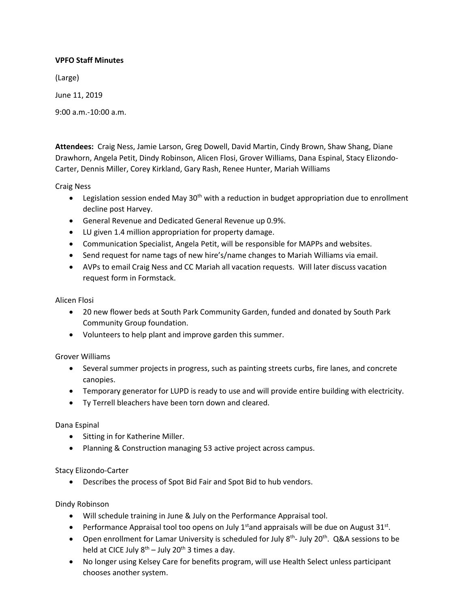# **VPFO Staff Minutes**

(Large)

June 11, 2019

9:00 a.m.-10:00 a.m.

**Attendees:** Craig Ness, Jamie Larson, Greg Dowell, David Martin, Cindy Brown, Shaw Shang, Diane Drawhorn, Angela Petit, Dindy Robinson, Alicen Flosi, Grover Williams, Dana Espinal, Stacy Elizondo-Carter, Dennis Miller, Corey Kirkland, Gary Rash, Renee Hunter, Mariah Williams

Craig Ness

- **•** Legislation session ended May 30<sup>th</sup> with a reduction in budget appropriation due to enrollment decline post Harvey.
- General Revenue and Dedicated General Revenue up 0.9%.
- LU given 1.4 million appropriation for property damage.
- Communication Specialist, Angela Petit, will be responsible for MAPPs and websites.
- Send request for name tags of new hire's/name changes to Mariah Williams via email.
- AVPs to email Craig Ness and CC Mariah all vacation requests. Will later discuss vacation request form in Formstack.

## Alicen Flosi

- 20 new flower beds at South Park Community Garden, funded and donated by South Park Community Group foundation.
- Volunteers to help plant and improve garden this summer.

## Grover Williams

- Several summer projects in progress, such as painting streets curbs, fire lanes, and concrete canopies.
- Temporary generator for LUPD is ready to use and will provide entire building with electricity.
- Ty Terrell bleachers have been torn down and cleared.

## Dana Espinal

- Sitting in for Katherine Miller.
- Planning & Construction managing 53 active project across campus.

## Stacy Elizondo-Carter

Describes the process of Spot Bid Fair and Spot Bid to hub vendors.

## Dindy Robinson

- Will schedule training in June & July on the Performance Appraisal tool.
- Performance Appraisal tool too opens on July  $1<sup>st</sup>$  and appraisals will be due on August 31 $<sup>st</sup>$ .</sup>
- Open enrollment for Lamar University is scheduled for July  $8<sup>th</sup>$  July 20<sup>th</sup>. Q&A sessions to be held at CICE July  $8^{th}$  – July 20<sup>th</sup> 3 times a day.
- No longer using Kelsey Care for benefits program, will use Health Select unless participant chooses another system.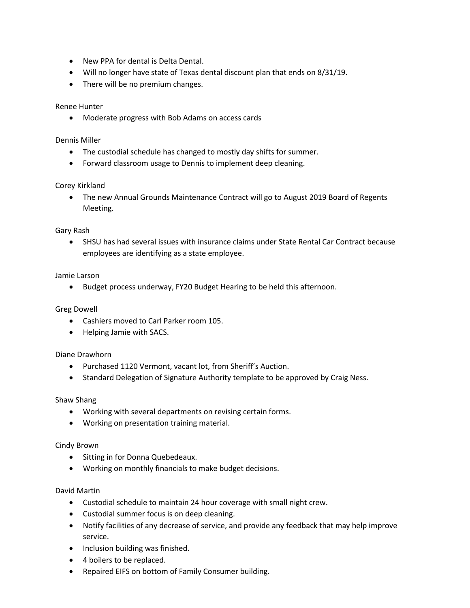- New PPA for dental is Delta Dental.
- Will no longer have state of Texas dental discount plan that ends on 8/31/19.
- There will be no premium changes.

### Renee Hunter

Moderate progress with Bob Adams on access cards

#### Dennis Miller

- The custodial schedule has changed to mostly day shifts for summer.
- Forward classroom usage to Dennis to implement deep cleaning.

### Corey Kirkland

 The new Annual Grounds Maintenance Contract will go to August 2019 Board of Regents Meeting.

### Gary Rash

 SHSU has had several issues with insurance claims under State Rental Car Contract because employees are identifying as a state employee.

### Jamie Larson

Budget process underway, FY20 Budget Hearing to be held this afternoon.

## Greg Dowell

- Cashiers moved to Carl Parker room 105.
- Helping Jamie with SACS.

#### Diane Drawhorn

- Purchased 1120 Vermont, vacant lot, from Sheriff's Auction.
- Standard Delegation of Signature Authority template to be approved by Craig Ness.

#### Shaw Shang

- Working with several departments on revising certain forms.
- Working on presentation training material.

#### Cindy Brown

- Sitting in for Donna Quebedeaux.
- Working on monthly financials to make budget decisions.

#### David Martin

- Custodial schedule to maintain 24 hour coverage with small night crew.
- Custodial summer focus is on deep cleaning.
- Notify facilities of any decrease of service, and provide any feedback that may help improve service.
- Inclusion building was finished.
- 4 boilers to be replaced.
- Repaired EIFS on bottom of Family Consumer building.